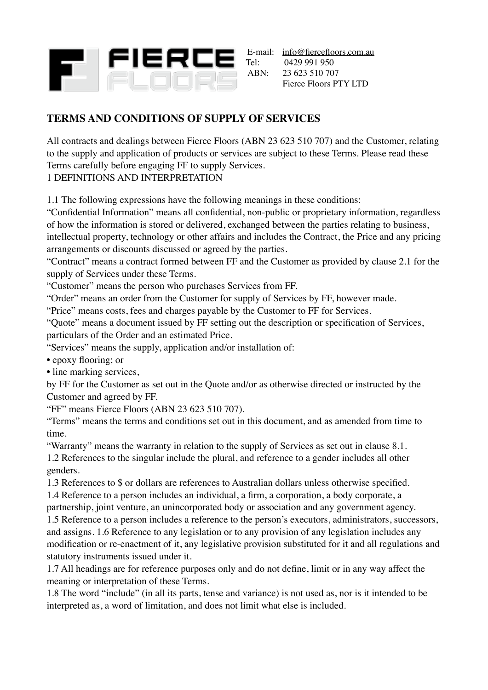

E-mail: [info@fiercefloors.com.au](mailto:infor@fiercefloors.com.au)<br>Tel: 0429 991 950 0429 991 950 ABN: 23 623 510 707 Fierce Floors PTY LTD

# **TERMS AND CONDITIONS OF SUPPLY OF SERVICES**

All contracts and dealings between Fierce Floors (ABN 23 623 510 707) and the Customer, relating to the supply and application of products or services are subject to these Terms. Please read these Terms carefully before engaging FF to supply Services.

### 1 DEFINITIONS AND INTERPRETATION

1.1 The following expressions have the following meanings in these conditions:

"Confidential Information" means all confidential, non-public or proprietary information, regardless of how the information is stored or delivered, exchanged between the parties relating to business, intellectual property, technology or other affairs and includes the Contract, the Price and any pricing arrangements or discounts discussed or agreed by the parties.

"Contract" means a contract formed between FF and the Customer as provided by clause 2.1 for the supply of Services under these Terms.

"Customer" means the person who purchases Services from FF.

"Order" means an order from the Customer for supply of Services by FF, however made.

"Price" means costs, fees and charges payable by the Customer to FF for Services.

"Quote" means a document issued by FF setting out the description or specification of Services, particulars of the Order and an estimated Price.

"Services" means the supply, application and/or installation of:

• epoxy flooring; or

• line marking services,

by FF for the Customer as set out in the Quote and/or as otherwise directed or instructed by the Customer and agreed by FF.

"FF" means Fierce Floors (ABN 23 623 510 707).

"Terms" means the terms and conditions set out in this document, and as amended from time to time.

"Warranty" means the warranty in relation to the supply of Services as set out in clause 8.1. 1.2 References to the singular include the plural, and reference to a gender includes all other genders.

1.3 References to \$ or dollars are references to Australian dollars unless otherwise specified.

1.4 Reference to a person includes an individual, a firm, a corporation, a body corporate, a partnership, joint venture, an unincorporated body or association and any government agency.

1.5 Reference to a person includes a reference to the person's executors, administrators, successors, and assigns. 1.6 Reference to any legislation or to any provision of any legislation includes any modification or re-enactment of it, any legislative provision substituted for it and all regulations and statutory instruments issued under it.

1.7 All headings are for reference purposes only and do not define, limit or in any way affect the meaning or interpretation of these Terms.

1.8 The word "include" (in all its parts, tense and variance) is not used as, nor is it intended to be interpreted as, a word of limitation, and does not limit what else is included.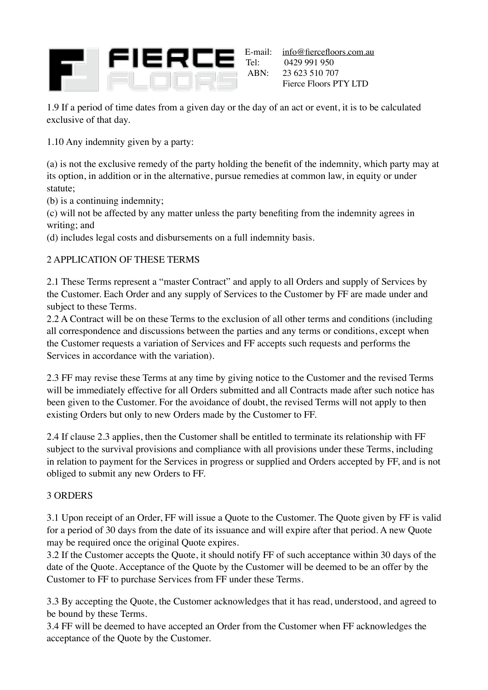

E-mail: <u>[info@fiercefloors.com.au](mailto:infor@fiercefloors.com.au)</u><br>Tel: 0429 991 950 0429 991 950 ABN: 23 623 510 707 Fierce Floors PTY LTD

1.9 If a period of time dates from a given day or the day of an act or event, it is to be calculated exclusive of that day.

1.10 Any indemnity given by a party:

(a) is not the exclusive remedy of the party holding the benefit of the indemnity, which party may at its option, in addition or in the alternative, pursue remedies at common law, in equity or under statute;

(b) is a continuing indemnity;

(c) will not be affected by any matter unless the party benefiting from the indemnity agrees in writing; and

(d) includes legal costs and disbursements on a full indemnity basis.

# 2 APPLICATION OF THESE TERMS

2.1 These Terms represent a "master Contract" and apply to all Orders and supply of Services by the Customer. Each Order and any supply of Services to the Customer by FF are made under and subject to these Terms.

2.2 A Contract will be on these Terms to the exclusion of all other terms and conditions (including all correspondence and discussions between the parties and any terms or conditions, except when the Customer requests a variation of Services and FF accepts such requests and performs the Services in accordance with the variation).

2.3 FF may revise these Terms at any time by giving notice to the Customer and the revised Terms will be immediately effective for all Orders submitted and all Contracts made after such notice has been given to the Customer. For the avoidance of doubt, the revised Terms will not apply to then existing Orders but only to new Orders made by the Customer to FF.

2.4 If clause 2.3 applies, then the Customer shall be entitled to terminate its relationship with FF subject to the survival provisions and compliance with all provisions under these Terms, including in relation to payment for the Services in progress or supplied and Orders accepted by FF, and is not obliged to submit any new Orders to FF.

#### 3 ORDERS

3.1 Upon receipt of an Order, FF will issue a Quote to the Customer. The Quote given by FF is valid for a period of 30 days from the date of its issuance and will expire after that period. A new Quote may be required once the original Quote expires.

3.2 If the Customer accepts the Quote, it should notify FF of such acceptance within 30 days of the date of the Quote. Acceptance of the Quote by the Customer will be deemed to be an offer by the Customer to FF to purchase Services from FF under these Terms.

3.3 By accepting the Quote, the Customer acknowledges that it has read, understood, and agreed to be bound by these Terms.

3.4 FF will be deemed to have accepted an Order from the Customer when FF acknowledges the acceptance of the Quote by the Customer.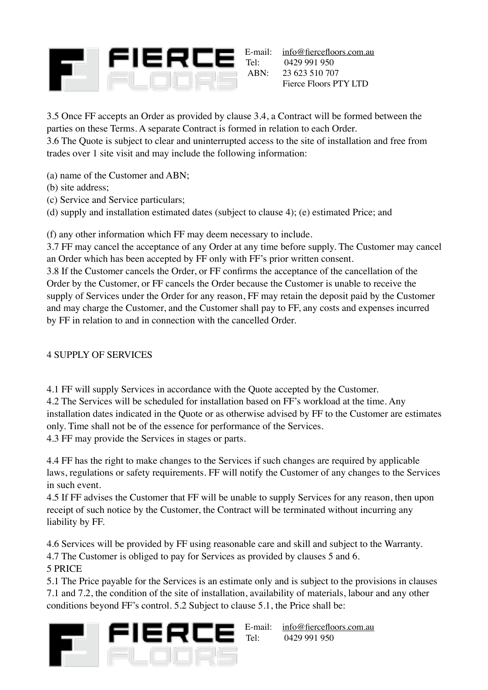

E-mail: <u>[info@fiercefloors.com.au](mailto:infor@fiercefloors.com.au)</u><br>Tel: 0429 991 950 Tel: 0429 991 950<br>ABN: 23 623 510 70 23 623 510 707 Fierce Floors PTY LTD

3.5 Once FF accepts an Order as provided by clause 3.4, a Contract will be formed between the parties on these Terms. A separate Contract is formed in relation to each Order. 3.6 The Quote is subject to clear and uninterrupted access to the site of installation and free from trades over 1 site visit and may include the following information:

- (a) name of the Customer and ABN;
- (b) site address;
- (c) Service and Service particulars;

(d) supply and installation estimated dates (subject to clause 4); (e) estimated Price; and

(f) any other information which FF may deem necessary to include.

3.7 FF may cancel the acceptance of any Order at any time before supply. The Customer may cancel an Order which has been accepted by FF only with FF's prior written consent.

3.8 If the Customer cancels the Order, or FF confirms the acceptance of the cancellation of the Order by the Customer, or FF cancels the Order because the Customer is unable to receive the supply of Services under the Order for any reason, FF may retain the deposit paid by the Customer and may charge the Customer, and the Customer shall pay to FF, any costs and expenses incurred by FF in relation to and in connection with the cancelled Order.

### 4 SUPPLY OF SERVICES

4.1 FF will supply Services in accordance with the Quote accepted by the Customer. 4.2 The Services will be scheduled for installation based on FF's workload at the time. Any installation dates indicated in the Quote or as otherwise advised by FF to the Customer are estimates only. Time shall not be of the essence for performance of the Services. 4.3 FF may provide the Services in stages or parts.

4.4 FF has the right to make changes to the Services if such changes are required by applicable laws, regulations or safety requirements. FF will notify the Customer of any changes to the Services in such event.

4.5 If FF advises the Customer that FF will be unable to supply Services for any reason, then upon receipt of such notice by the Customer, the Contract will be terminated without incurring any liability by FF.

4.6 Services will be provided by FF using reasonable care and skill and subject to the Warranty. 4.7 The Customer is obliged to pay for Services as provided by clauses 5 and 6.

5 PRICE

5.1 The Price payable for the Services is an estimate only and is subject to the provisions in clauses 7.1 and 7.2, the condition of the site of installation, availability of materials, labour and any other conditions beyond FF's control. 5.2 Subject to clause 5.1, the Price shall be:



E-mail: [info@fiercefloors.com.au](mailto:infor@fiercefloors.com.au) Tel: 0429 991 950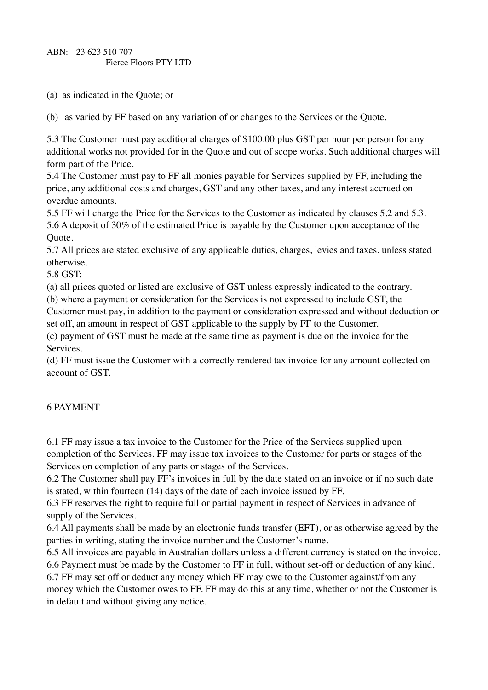(a) as indicated in the Quote; or

(b) as varied by FF based on any variation of or changes to the Services or the Quote.

5.3 The Customer must pay additional charges of \$100.00 plus GST per hour per person for any additional works not provided for in the Quote and out of scope works. Such additional charges will form part of the Price.

5.4 The Customer must pay to FF all monies payable for Services supplied by FF, including the price, any additional costs and charges, GST and any other taxes, and any interest accrued on overdue amounts.

5.5 FF will charge the Price for the Services to the Customer as indicated by clauses 5.2 and 5.3. 5.6 A deposit of 30% of the estimated Price is payable by the Customer upon acceptance of the Quote.

5.7 All prices are stated exclusive of any applicable duties, charges, levies and taxes, unless stated otherwise.

5.8 GST:

(a) all prices quoted or listed are exclusive of GST unless expressly indicated to the contrary.

(b) where a payment or consideration for the Services is not expressed to include GST, the

Customer must pay, in addition to the payment or consideration expressed and without deduction or set off, an amount in respect of GST applicable to the supply by FF to the Customer.

(c) payment of GST must be made at the same time as payment is due on the invoice for the Services.

(d) FF must issue the Customer with a correctly rendered tax invoice for any amount collected on account of GST.

### 6 PAYMENT

6.1 FF may issue a tax invoice to the Customer for the Price of the Services supplied upon completion of the Services. FF may issue tax invoices to the Customer for parts or stages of the Services on completion of any parts or stages of the Services.

6.2 The Customer shall pay FF's invoices in full by the date stated on an invoice or if no such date is stated, within fourteen (14) days of the date of each invoice issued by FF.

6.3 FF reserves the right to require full or partial payment in respect of Services in advance of supply of the Services.

6.4 All payments shall be made by an electronic funds transfer (EFT), or as otherwise agreed by the parties in writing, stating the invoice number and the Customer's name.

6.5 All invoices are payable in Australian dollars unless a different currency is stated on the invoice. 6.6 Payment must be made by the Customer to FF in full, without set-off or deduction of any kind.

6.7 FF may set off or deduct any money which FF may owe to the Customer against/from any money which the Customer owes to FF. FF may do this at any time, whether or not the Customer is in default and without giving any notice.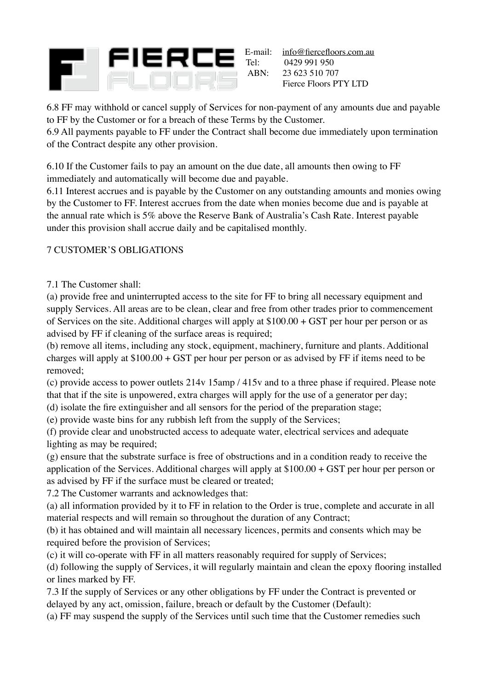

E-mail: [info@fiercefloors.com.au](mailto:infor@fiercefloors.com.au)<br>Tel: 0429 991 950 0429 991 950 ABN: 23 623 510 707 Fierce Floors PTY LTD

6.8 FF may withhold or cancel supply of Services for non-payment of any amounts due and payable to FF by the Customer or for a breach of these Terms by the Customer.

6.9 All payments payable to FF under the Contract shall become due immediately upon termination of the Contract despite any other provision.

6.10 If the Customer fails to pay an amount on the due date, all amounts then owing to FF immediately and automatically will become due and payable.

6.11 Interest accrues and is payable by the Customer on any outstanding amounts and monies owing by the Customer to FF. Interest accrues from the date when monies become due and is payable at the annual rate which is 5% above the Reserve Bank of Australia's Cash Rate. Interest payable under this provision shall accrue daily and be capitalised monthly.

# 7 CUSTOMER'S OBLIGATIONS

7.1 The Customer shall:

(a) provide free and uninterrupted access to the site for FF to bring all necessary equipment and supply Services. All areas are to be clean, clear and free from other trades prior to commencement of Services on the site. Additional charges will apply at \$100.00 + GST per hour per person or as advised by FF if cleaning of the surface areas is required;

(b) remove all items, including any stock, equipment, machinery, furniture and plants. Additional charges will apply at  $$100.00 + GST$  per hour per person or as advised by FF if items need to be removed;

(c) provide access to power outlets 214v 15amp / 415v and to a three phase if required. Please note that that if the site is unpowered, extra charges will apply for the use of a generator per day;

(d) isolate the fire extinguisher and all sensors for the period of the preparation stage;

(e) provide waste bins for any rubbish left from the supply of the Services;

(f) provide clear and unobstructed access to adequate water, electrical services and adequate lighting as may be required;

(g) ensure that the substrate surface is free of obstructions and in a condition ready to receive the application of the Services. Additional charges will apply at \$100.00 + GST per hour per person or as advised by FF if the surface must be cleared or treated;

7.2 The Customer warrants and acknowledges that:

(a) all information provided by it to FF in relation to the Order is true, complete and accurate in all material respects and will remain so throughout the duration of any Contract;

(b) it has obtained and will maintain all necessary licences, permits and consents which may be required before the provision of Services;

(c) it will co-operate with FF in all matters reasonably required for supply of Services;

(d) following the supply of Services, it will regularly maintain and clean the epoxy flooring installed or lines marked by FF.

7.3 If the supply of Services or any other obligations by FF under the Contract is prevented or delayed by any act, omission, failure, breach or default by the Customer (Default):

(a) FF may suspend the supply of the Services until such time that the Customer remedies such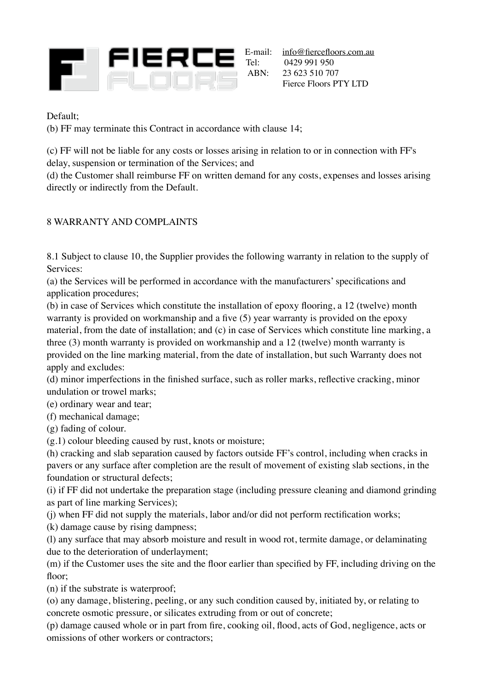

Default;

(b) FF may terminate this Contract in accordance with clause 14;

(c) FF will not be liable for any costs or losses arising in relation to or in connection with FF's delay, suspension or termination of the Services; and

(d) the Customer shall reimburse FF on written demand for any costs, expenses and losses arising directly or indirectly from the Default.

### 8 WARRANTY AND COMPLAINTS

8.1 Subject to clause 10, the Supplier provides the following warranty in relation to the supply of Services:

(a) the Services will be performed in accordance with the manufacturers' specifications and application procedures;

(b) in case of Services which constitute the installation of epoxy flooring, a 12 (twelve) month warranty is provided on workmanship and a five (5) year warranty is provided on the epoxy material, from the date of installation; and (c) in case of Services which constitute line marking, a three (3) month warranty is provided on workmanship and a 12 (twelve) month warranty is provided on the line marking material, from the date of installation, but such Warranty does not apply and excludes:

(d) minor imperfections in the finished surface, such as roller marks, reflective cracking, minor undulation or trowel marks;

(e) ordinary wear and tear;

(f) mechanical damage;

(g) fading of colour.

(g.1) colour bleeding caused by rust, knots or moisture;

(h) cracking and slab separation caused by factors outside FF's control, including when cracks in pavers or any surface after completion are the result of movement of existing slab sections, in the foundation or structural defects;

(i) if FF did not undertake the preparation stage (including pressure cleaning and diamond grinding as part of line marking Services);

(j) when FF did not supply the materials, labor and/or did not perform rectification works;

(k) damage cause by rising dampness;

(l) any surface that may absorb moisture and result in wood rot, termite damage, or delaminating due to the deterioration of underlayment;

(m) if the Customer uses the site and the floor earlier than specified by FF, including driving on the floor;

(n) if the substrate is waterproof;

(o) any damage, blistering, peeling, or any such condition caused by, initiated by, or relating to concrete osmotic pressure, or silicates extruding from or out of concrete;

(p) damage caused whole or in part from fire, cooking oil, flood, acts of God, negligence, acts or omissions of other workers or contractors;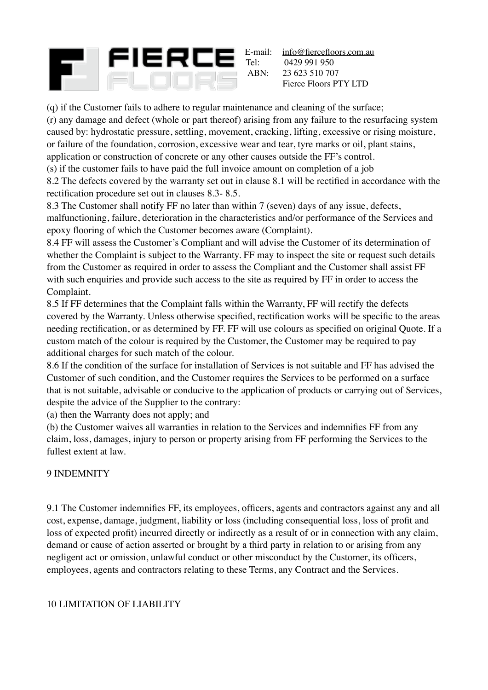

E-mail: <u>[info@fiercefloors.com.au](mailto:infor@fiercefloors.com.au)</u><br>Tel: 0429 991 950 0429 991 950 ABN: 23 623 510 707 Fierce Floors PTY LTD

(q) if the Customer fails to adhere to regular maintenance and cleaning of the surface;

(r) any damage and defect (whole or part thereof) arising from any failure to the resurfacing system caused by: hydrostatic pressure, settling, movement, cracking, lifting, excessive or rising moisture, or failure of the foundation, corrosion, excessive wear and tear, tyre marks or oil, plant stains, application or construction of concrete or any other causes outside the FF's control.

(s) if the customer fails to have paid the full invoice amount on completion of a job

8.2 The defects covered by the warranty set out in clause 8.1 will be rectified in accordance with the rectification procedure set out in clauses 8.3- 8.5.

8.3 The Customer shall notify FF no later than within 7 (seven) days of any issue, defects, malfunctioning, failure, deterioration in the characteristics and/or performance of the Services and epoxy flooring of which the Customer becomes aware (Complaint).

8.4 FF will assess the Customer's Compliant and will advise the Customer of its determination of whether the Complaint is subject to the Warranty. FF may to inspect the site or request such details from the Customer as required in order to assess the Compliant and the Customer shall assist FF with such enquiries and provide such access to the site as required by FF in order to access the Complaint.

8.5 If FF determines that the Complaint falls within the Warranty, FF will rectify the defects covered by the Warranty. Unless otherwise specified, rectification works will be specific to the areas needing rectification, or as determined by FF. FF will use colours as specified on original Quote. If a custom match of the colour is required by the Customer, the Customer may be required to pay additional charges for such match of the colour.

8.6 If the condition of the surface for installation of Services is not suitable and FF has advised the Customer of such condition, and the Customer requires the Services to be performed on a surface that is not suitable, advisable or conducive to the application of products or carrying out of Services, despite the advice of the Supplier to the contrary:

(a) then the Warranty does not apply; and

(b) the Customer waives all warranties in relation to the Services and indemnifies FF from any claim, loss, damages, injury to person or property arising from FF performing the Services to the fullest extent at law.

### 9 INDEMNITY

9.1 The Customer indemnifies FF, its employees, officers, agents and contractors against any and all cost, expense, damage, judgment, liability or loss (including consequential loss, loss of profit and loss of expected profit) incurred directly or indirectly as a result of or in connection with any claim, demand or cause of action asserted or brought by a third party in relation to or arising from any negligent act or omission, unlawful conduct or other misconduct by the Customer, its officers, employees, agents and contractors relating to these Terms, any Contract and the Services.

### 10 LIMITATION OF LIABILITY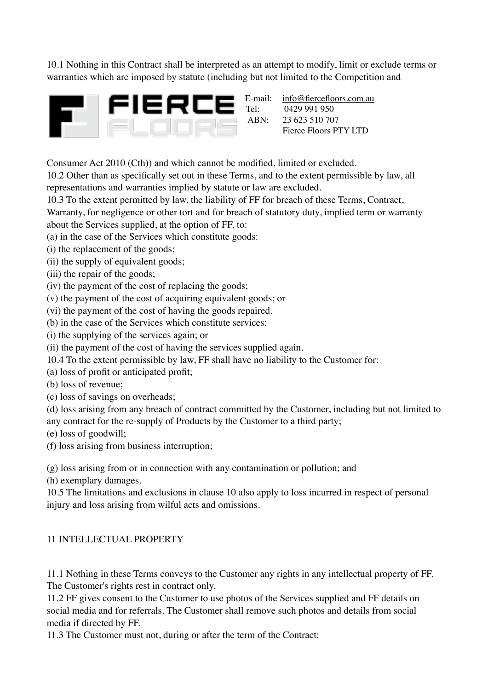10.1 Nothing in this Contract shall be interpreted as an attempt to modify, limit or exclude terms or warranties which are imposed by statute (including but not limited to the Competition and



E-mail: [info@fiercefloors.com.au](mailto:infor@fiercefloors.com.au) Tel: 0429 991 950<br>ABN: 23 623 510 70 23 623 510 707 Fierce Floors PTY LTD

Consumer Act 2010 (Cth)) and which cannot be modified, limited or excluded.

10.2 Other than as specifically set out in these Terms, and to the extent permissible by law, all representations and warranties implied by statute or law are excluded.

10.3 To the extent permitted by law, the liability of FF for breach of these Terms, Contract,

Warranty, for negligence or other tort and for breach of statutory duty, implied term or warranty about the Services supplied, at the option of FF, to:

(a) in the case of the Services which constitute goods:

- (i) the replacement of the goods;
- (ii) the supply of equivalent goods;
- (iii) the repair of the goods;
- (iv) the payment of the cost of replacing the goods;
- (v) the payment of the cost of acquiring equivalent goods; or
- (vi) the payment of the cost of having the goods repaired.
- (b) in the case of the Services which constitute services:
- (i) the supplying of the services again; or
- (ii) the payment of the cost of having the services supplied again.
- 10.4 To the extent permissible by law, FF shall have no liability to the Customer for:
- (a) loss of profit or anticipated profit;
- (b) loss of revenue;
- (c) loss of savings on overheads;

(d) loss arising from any breach of contract committed by the Customer, including but not limited to any contract for the re-supply of Products by the Customer to a third party;

(e) loss of goodwill;

(f) loss arising from business interruption;

(g) loss arising from or in connection with any contamination or pollution; and

(h) exemplary damages.

10.5 The limitations and exclusions in clause 10 also apply to loss incurred in respect of personal injury and loss arising from wilful acts and omissions.

### 11 INTELLECTUAL PROPERTY

11.1 Nothing in these Terms conveys to the Customer any rights in any intellectual property of FF. The Customer's rights rest in contract only.

11.2 FF gives consent to the Customer to use photos of the Services supplied and FF details on social media and for referrals. The Customer shall remove such photos and details from social media if directed by FF.

11.3 The Customer must not, during or after the term of the Contract: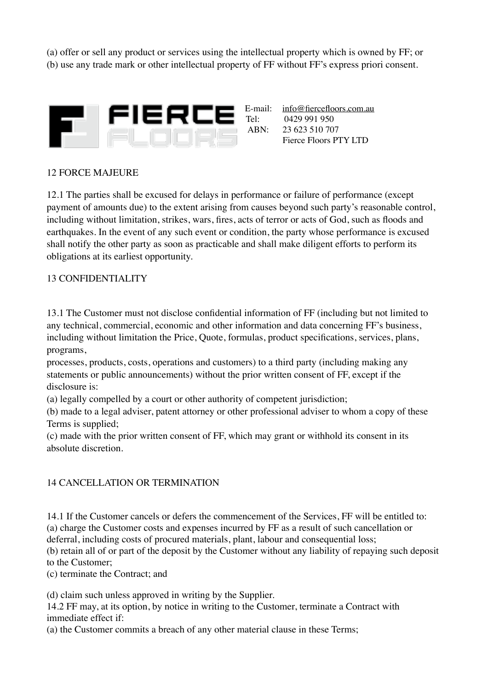(a) offer or sell any product or services using the intellectual property which is owned by FF; or (b) use any trade mark or other intellectual property of FF without FF's express priori consent.



0429 991 950 ABN: 23 623 510 707 Fierce Floors PTY LTD

#### 12 FORCE MAJEURE

12.1 The parties shall be excused for delays in performance or failure of performance (except payment of amounts due) to the extent arising from causes beyond such party's reasonable control, including without limitation, strikes, wars, fires, acts of terror or acts of God, such as floods and earthquakes. In the event of any such event or condition, the party whose performance is excused shall notify the other party as soon as practicable and shall make diligent efforts to perform its obligations at its earliest opportunity.

#### 13 CONFIDENTIALITY

13.1 The Customer must not disclose confidential information of FF (including but not limited to any technical, commercial, economic and other information and data concerning FF's business, including without limitation the Price, Quote, formulas, product specifications, services, plans, programs,

processes, products, costs, operations and customers) to a third party (including making any statements or public announcements) without the prior written consent of FF, except if the disclosure is:

(a) legally compelled by a court or other authority of competent jurisdiction;

(b) made to a legal adviser, patent attorney or other professional adviser to whom a copy of these Terms is supplied;

(c) made with the prior written consent of FF, which may grant or withhold its consent in its absolute discretion.

#### 14 CANCELLATION OR TERMINATION

14.1 If the Customer cancels or defers the commencement of the Services, FF will be entitled to: (a) charge the Customer costs and expenses incurred by FF as a result of such cancellation or deferral, including costs of procured materials, plant, labour and consequential loss; (b) retain all of or part of the deposit by the Customer without any liability of repaying such deposit

to the Customer;

(c) terminate the Contract; and

(d) claim such unless approved in writing by the Supplier.

14.2 FF may, at its option, by notice in writing to the Customer, terminate a Contract with immediate effect if:

(a) the Customer commits a breach of any other material clause in these Terms;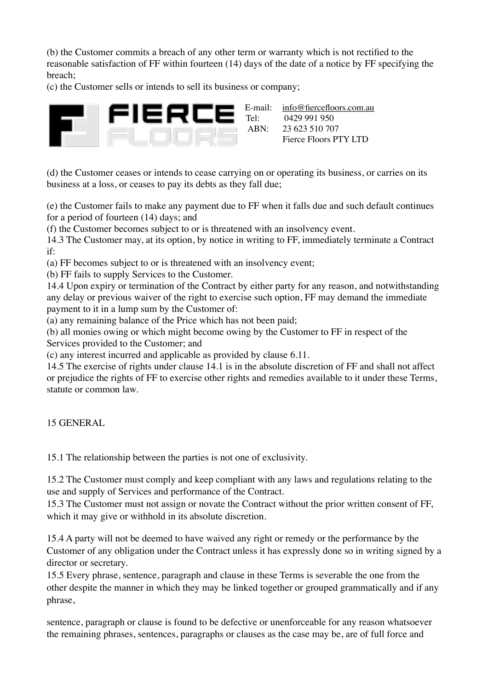(b) the Customer commits a breach of any other term or warranty which is not rectified to the reasonable satisfaction of FF within fourteen (14) days of the date of a notice by FF specifying the breach;

(c) the Customer sells or intends to sell its business or company;



(d) the Customer ceases or intends to cease carrying on or operating its business, or carries on its business at a loss, or ceases to pay its debts as they fall due;

(e) the Customer fails to make any payment due to FF when it falls due and such default continues for a period of fourteen (14) days; and

(f) the Customer becomes subject to or is threatened with an insolvency event.

14.3 The Customer may, at its option, by notice in writing to FF, immediately terminate a Contract if:

(a) FF becomes subject to or is threatened with an insolvency event;

(b) FF fails to supply Services to the Customer.

14.4 Upon expiry or termination of the Contract by either party for any reason, and notwithstanding any delay or previous waiver of the right to exercise such option, FF may demand the immediate payment to it in a lump sum by the Customer of:

(a) any remaining balance of the Price which has not been paid;

(b) all monies owing or which might become owing by the Customer to FF in respect of the

Services provided to the Customer; and

(c) any interest incurred and applicable as provided by clause 6.11.

14.5 The exercise of rights under clause 14.1 is in the absolute discretion of FF and shall not affect or prejudice the rights of FF to exercise other rights and remedies available to it under these Terms, statute or common law.

15 GENERAL

15.1 The relationship between the parties is not one of exclusivity.

15.2 The Customer must comply and keep compliant with any laws and regulations relating to the use and supply of Services and performance of the Contract.

15.3 The Customer must not assign or novate the Contract without the prior written consent of FF, which it may give or withhold in its absolute discretion.

15.4 A party will not be deemed to have waived any right or remedy or the performance by the Customer of any obligation under the Contract unless it has expressly done so in writing signed by a director or secretary.

15.5 Every phrase, sentence, paragraph and clause in these Terms is severable the one from the other despite the manner in which they may be linked together or grouped grammatically and if any phrase,

sentence, paragraph or clause is found to be defective or unenforceable for any reason whatsoever the remaining phrases, sentences, paragraphs or clauses as the case may be, are of full force and